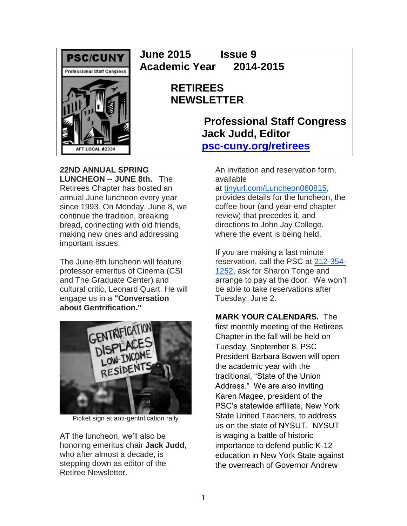

**June 2015 Issue 9 Academic Year 2014-2015**

# **RETIREES NEWSLETTER**

**Professional Staff Congress Jack Judd, Editor [psc-cuny.org/retirees](http://www.psc-cuny.org/retirees)**

**22ND ANNUAL SPRING LUNCHEON -- JUNE 8th.** The Retirees Chapter has hosted an annual June luncheon every year since 1993. On Monday, June 8, we continue the tradition, breaking bread, connecting with old friends, making new ones and addressing important issues.

The June 8th luncheon will feature professor emeritus of Cinema (CSI and The Graduate Center) and cultural critic, Leonard Quart. He will engage us in a **"Conversation about Gentrification."**



Picket sign at anti-gentrification rally

AT the luncheon, we'll also be honoring emeritus chair **Jack Judd**, who after almost a decade, is stepping down as editor of the Retiree Newsletter.

An invitation and reservation form, available

at [tinyurl.com/Luncheon060815,](http://afl.salsalabs.com/dia/track.jsp?v=2&c=5X0Y4iiuNzN85gEIHiBW%2BVEV6ftun%2BI1)

provides details for the luncheon, the coffee hour (and year-end chapter review) that precedes it, and directions to John Jay College, where the event is being held.

If you are making a last minute reservation, call the PSC at [212-354-](tel:/212-354-1252) [1252,](tel:/212-354-1252) ask for Sharon Tonge and arrange to pay at the door. We won't be able to take reservations after Tuesday, June 2.

## **MARK YOUR CALENDARS.** The

first monthly meeting of the Retirees Chapter in the fall will be held on Tuesday, September 8. PSC President Barbara Bowen will open the academic year with the traditional, "State of the Union Address." We are also inviting Karen Magee, president of the PSC's statewide affiliate, New York State United Teachers, to address us on the state of NYSUT. NYSUT is waging a battle of historic importance to defend public K-12 education in New York State against the overreach of Governor Andrew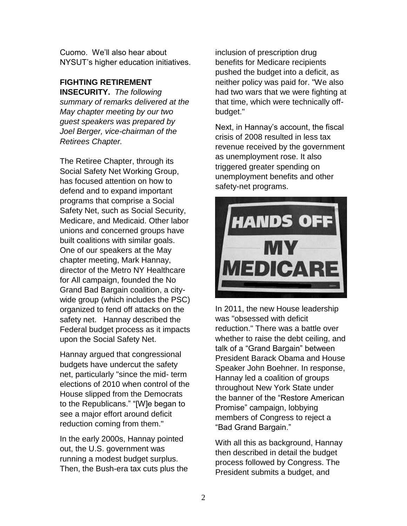Cuomo. We'll also hear about NYSUT's higher education initiatives.

### **FIGHTING RETIREMENT**

**INSECURITY.** *The following summary of remarks delivered at the May chapter meeting by our two guest speakers was prepared by Joel Berger, vice-chairman of the Retirees Chapter.*

The Retiree Chapter, through its Social Safety Net Working Group, has focused attention on how to defend and to expand important programs that comprise a Social Safety Net, such as Social Security, Medicare, and Medicaid. Other labor unions and concerned groups have built coalitions with similar goals. One of our speakers at the May chapter meeting, Mark Hannay, director of the Metro NY Healthcare for All campaign, founded the No Grand Bad Bargain coalition, a citywide group (which includes the PSC) organized to fend off attacks on the safety net. Hannay described the Federal budget process as it impacts upon the Social Safety Net.

Hannay argued that congressional budgets have undercut the safety net, particularly "since the mid- term elections of 2010 when control of the House slipped from the Democrats to the Republicans." "[W]e began to see a major effort around deficit reduction coming from them."

In the early 2000s, Hannay pointed out, the U.S. government was running a modest budget surplus. Then, the Bush-era tax cuts plus the inclusion of prescription drug benefits for Medicare recipients pushed the budget into a deficit, as neither policy was paid for. "We also had two wars that we were fighting at that time, which were technically offbudget."

Next, in Hannay's account, the fiscal crisis of 2008 resulted in less tax revenue received by the government as unemployment rose. It also triggered greater spending on unemployment benefits and other safety-net programs.



In 2011, the new House leadership was "obsessed with deficit reduction." There was a battle over whether to raise the debt ceiling, and talk of a "Grand Bargain" between President Barack Obama and House Speaker John Boehner. In response, Hannay led a coalition of groups throughout New York State under the banner of the "Restore American Promise" campaign, lobbying members of Congress to reject a "Bad Grand Bargain."

With all this as background, Hannay then described in detail the budget process followed by Congress. The President submits a budget, and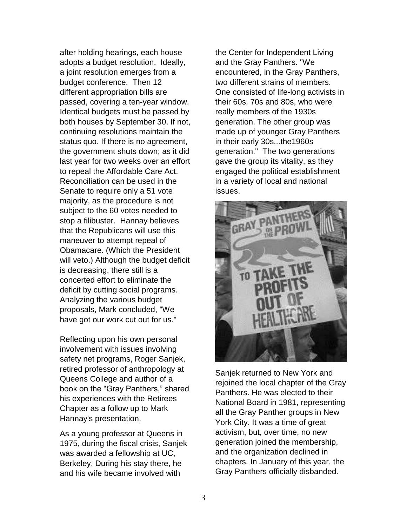after holding hearings, each house adopts a budget resolution. Ideally, a joint resolution emerges from a budget conference. Then 12 different appropriation bills are passed, covering a ten-year window. Identical budgets must be passed by both houses by September 30. If not, continuing resolutions maintain the status quo. If there is no agreement, the government shuts down; as it did last year for two weeks over an effort to repeal the Affordable Care Act. Reconciliation can be used in the Senate to require only a 51 vote majority, as the procedure is not subject to the 60 votes needed to stop a filibuster. Hannay believes that the Republicans will use this maneuver to attempt repeal of Obamacare. (Which the President will veto.) Although the budget deficit is decreasing, there still is a concerted effort to eliminate the deficit by cutting social programs. Analyzing the various budget proposals, Mark concluded, "We have got our work cut out for us."

Reflecting upon his own personal involvement with issues involving safety net programs, Roger Sanjek, retired professor of anthropology at Queens College and author of a book on the "Gray Panthers," shared his experiences with the Retirees Chapter as a follow up to Mark Hannay's presentation.

As a young professor at Queens in 1975, during the fiscal crisis, Sanjek was awarded a fellowship at UC, Berkeley. During his stay there, he and his wife became involved with

the Center for Independent Living and the Gray Panthers. "We encountered, in the Gray Panthers, two different strains of members. One consisted of life-long activists in their 60s, 70s and 80s, who were really members of the 1930s generation. The other group was made up of younger Gray Panthers in their early 30s...the1960s generation." The two generations gave the group its vitality, as they engaged the political establishment in a variety of local and national issues.



Sanjek returned to New York and rejoined the local chapter of the Gray Panthers. He was elected to their National Board in 1981, representing all the Gray Panther groups in New York City. It was a time of great activism, but, over time, no new generation joined the membership, and the organization declined in chapters. In January of this year, the Gray Panthers officially disbanded.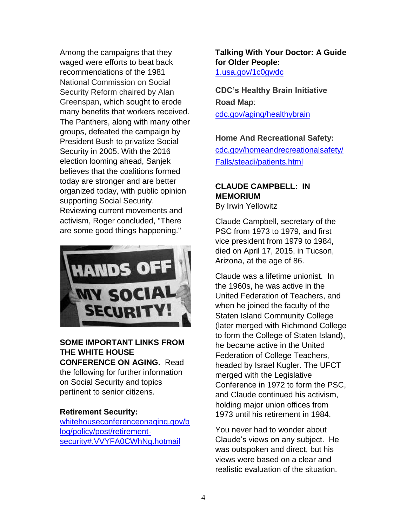Among the campaigns that they waged were efforts to beat back recommendations of the 1981 National Commission on Social Security Reform chaired by Alan Greenspan, which sought to erode many benefits that workers received. The Panthers, along with many other groups, defeated the campaign by President Bush to privatize Social Security in 2005. With the 2016 election looming ahead, Sanjek believes that the coalitions formed today are stronger and are better organized today, with public opinion supporting Social Security. Reviewing current movements and activism, Roger concluded, "There are some good things happening."



#### **SOME IMPORTANT LINKS FROM THE WHITE HOUSE CONFERENCE ON AGING.** Read

the following for further information on Social Security and topics pertinent to senior citizens.

#### **Retirement Security:**

[whitehouseconferenceonaging.gov/b](http://www.whitehouseconferenceonaging.gov/blog/policy/post/retirement-security#.VVYFA0CWhNg.hotmail) [log/policy/post/retirement](http://www.whitehouseconferenceonaging.gov/blog/policy/post/retirement-security#.VVYFA0CWhNg.hotmail)[security#.VVYFA0CWhNg.hotmail](http://www.whitehouseconferenceonaging.gov/blog/policy/post/retirement-security#.VVYFA0CWhNg.hotmail)

**Talking With Your Doctor: A Guide for Older People:** [1.usa.gov/1c0gwdc](http://links.govdelivery.com/track?type=click&enid=ZWFzPTEmbWFpbGluZ2lkPTIwMTUwNTE4LjQ1MDgzODgxJm1lc3NhZ2VpZD1NREItUFJELUJVTC0yMDE1MDUxOC40NTA4Mzg4MSZkYXRhYmFzZWlkPTEwMDEmc2VyaWFsPTE3MTI4OTUwJmVtYWlsaWQ9amp1ZGQxOEBvcHRvbmxpbmUubmV0JnVzZXJpZD1qanVkZDE4QG9wdG9ubGluZS5uZXQmZmw9JmV4dHJhPU11bHRpdmFyaWF0ZUlkPSYmJg==&&&102&&&http://1.usa.gov/1c0gwdc)

**CDC's Healthy Brain Initiative Road Map**: [cdc.gov/aging/healthybrain](http://www.cdc.gov/aging/healthybrain/)

#### **Home And Recreational Safety:**

[cdc.gov/homeandrecreationalsafety/](http://www.cdc.gov/homeandrecreationalsafety/Falls/steadi/patients.html) [Falls/steadi/patients.html](http://www.cdc.gov/homeandrecreationalsafety/Falls/steadi/patients.html)

# **CLAUDE CAMPBELL: IN MEMORIUM**

By Irwin Yellowitz

Claude Campbell, secretary of the PSC from 1973 to 1979, and first vice president from 1979 to 1984, died on April 17, 2015, in Tucson, Arizona, at the age of 86.

Claude was a lifetime unionist. In the 1960s, he was active in the United Federation of Teachers, and when he joined the faculty of the Staten Island Community College (later merged with Richmond College to form the College of Staten Island), he became active in the United Federation of College Teachers, headed by Israel Kugler. The UFCT merged with the Legislative Conference in 1972 to form the PSC, and Claude continued his activism, holding major union offices from 1973 until his retirement in 1984.

You never had to wonder about Claude's views on any subject. He was outspoken and direct, but his views were based on a clear and realistic evaluation of the situation.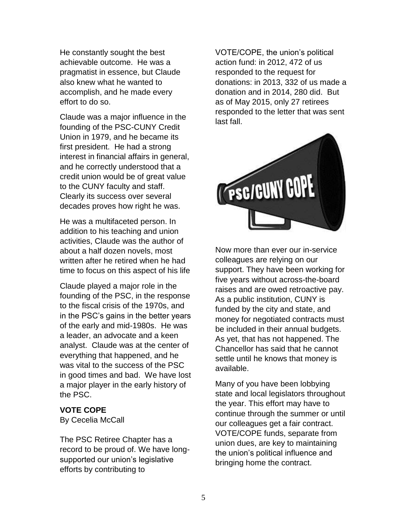He constantly sought the best achievable outcome. He was a pragmatist in essence, but Claude also knew what he wanted to accomplish, and he made every effort to do so.

Claude was a major influence in the founding of the PSC-CUNY Credit Union in 1979, and he became its first president. He had a strong interest in financial affairs in general, and he correctly understood that a credit union would be of great value to the CUNY faculty and staff. Clearly its success over several decades proves how right he was.

He was a multifaceted person. In addition to his teaching and union activities, Claude was the author of about a half dozen novels, most written after he retired when he had time to focus on this aspect of his life

Claude played a major role in the founding of the PSC, in the response to the fiscal crisis of the 1970s, and in the PSC's gains in the better years of the early and mid-1980s. He was a leader, an advocate and a keen analyst. Claude was at the center of everything that happened, and he was vital to the success of the PSC in good times and bad. We have lost a major player in the early history of the PSC.

#### **VOTE COPE**

By Cecelia McCall

The PSC Retiree Chapter has a record to be proud of. We have longsupported our union's legislative efforts by contributing to

VOTE/COPE, the union's political action fund: in 2012, 472 of us responded to the request for donations: in 2013, 332 of us made a donation and in 2014, 280 did. But as of May 2015, only 27 retirees responded to the letter that was sent last fall.



Now more than ever our in-service colleagues are relying on our support. They have been working for five years without across-the-board raises and are owed retroactive pay. As a public institution, CUNY is funded by the city and state, and money for negotiated contracts must be included in their annual budgets. As yet, that has not happened. The Chancellor has said that he cannot settle until he knows that money is available.

Many of you have been lobbying state and local legislators throughout the year. This effort may have to continue through the summer or until our colleagues get a fair contract. VOTE/COPE funds, separate from union dues, are key to maintaining the union's political influence and bringing home the contract.